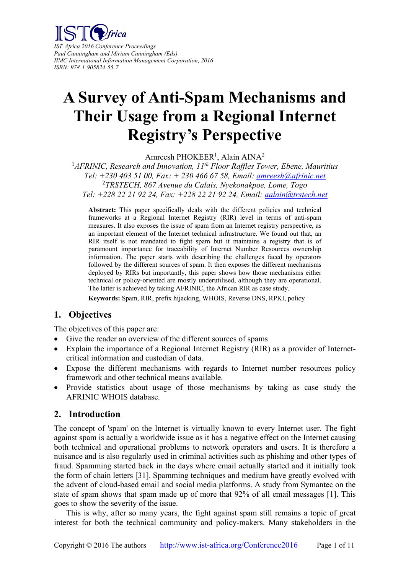

*IST-Africa 2016 Conference Proceedings Paul Cunningham and Miriam Cunningham (Eds) IIMC International Information Management Corporation, 2016 ISBN: 978-1-905824-55-7* 

# **A Survey of Anti-Spam Mechanisms and Their Usage from a Regional Internet Registry's Perspective**

Amreesh PHOKEER<sup>1</sup>, Alain AINA<sup>2</sup>

<sup>1</sup>AFRINIC, Research and Innovation, 11<sup>th</sup> Floor Raffles Tower, Ebene, Mauritius *Tel: +230 403 51 00, Fax: + 230 466 67 58, Email: amreesh@afrinic.net* 2 *TRSTECH, 867 Avenue du Calais, Nyekonakpoe, Lome, Togo Tel: +228 22 21 92 24, Fax: +228 22 21 92 24, Email: aalain@trstech.net* 

**Abstract:** This paper specifically deals with the different policies and technical frameworks at a Regional Internet Registry (RIR) level in terms of anti-spam measures. It also exposes the issue of spam from an Internet registry perspective, as an important element of the Internet technical infrastructure. We found out that, an RIR itself is not mandated to fight spam but it maintains a registry that is of paramount importance for traceability of Internet Number Resources ownership information. The paper starts with describing the challenges faced by operators followed by the different sources of spam. It then exposes the different mechanisms deployed by RIRs but importantly, this paper shows how those mechanisms either technical or policy-oriented are mostly underutilised, although they are operational. The latter is achieved by taking AFRINIC, the African RIR as case study.

**Keywords:** Spam, RIR, prefix hijacking, WHOIS, Reverse DNS, RPKI, policy

# **1. Objectives**

The objectives of this paper are:

- Give the reader an overview of the different sources of spams
- Explain the importance of a Regional Internet Registry (RIR) as a provider of Internetcritical information and custodian of data.
- Expose the different mechanisms with regards to Internet number resources policy framework and other technical means available.
- Provide statistics about usage of those mechanisms by taking as case study the AFRINIC WHOIS database.

# **2. Introduction**

The concept of 'spam' on the Internet is virtually known to every Internet user. The fight against spam is actually a worldwide issue as it has a negative effect on the Internet causing both technical and operational problems to network operators and users. It is therefore a nuisance and is also regularly used in criminal activities such as phishing and other types of fraud. Spamming started back in the days where email actually started and it initially took the form of chain letters [31]. Spamming techniques and medium have greatly evolved with the advent of cloud-based email and social media platforms. A study from Symantec on the state of spam shows that spam made up of more that 92% of all email messages [1]. This goes to show the severity of the issue.

This is why, after so many years, the fight against spam still remains a topic of great interest for both the technical community and policy-makers. Many stakeholders in the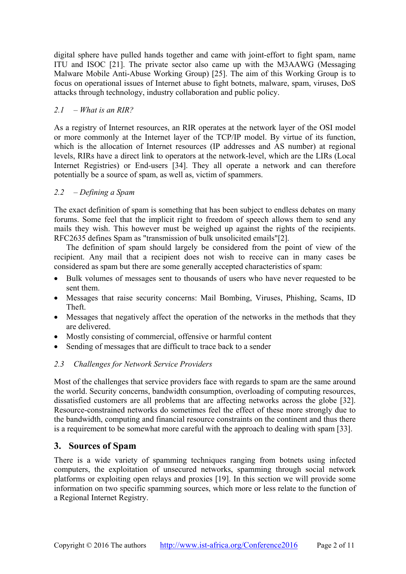digital sphere have pulled hands together and came with joint-effort to fight spam, name ITU and ISOC [21]. The private sector also came up with the M3AAWG (Messaging Malware Mobile Anti-Abuse Working Group) [25]. The aim of this Working Group is to focus on operational issues of Internet abuse to fight botnets, malware, spam, viruses, DoS attacks through technology, industry collaboration and public policy.

## *2.1 – What is an RIR?*

As a registry of Internet resources, an RIR operates at the network layer of the OSI model or more commonly at the Internet layer of the TCP/IP model. By virtue of its function, which is the allocation of Internet resources (IP addresses and AS number) at regional levels, RIRs have a direct link to operators at the network-level, which are the LIRs (Local Internet Registries) or End-users [34]. They all operate a network and can therefore potentially be a source of spam, as well as, victim of spammers.

## *2.2 – Defining a Spam*

The exact definition of spam is something that has been subject to endless debates on many forums. Some feel that the implicit right to freedom of speech allows them to send any mails they wish. This however must be weighed up against the rights of the recipients. RFC2635 defines Spam as "transmission of bulk unsolicited emails"[2].

The definition of spam should largely be considered from the point of view of the recipient. Any mail that a recipient does not wish to receive can in many cases be considered as spam but there are some generally accepted characteristics of spam:

- Bulk volumes of messages sent to thousands of users who have never requested to be sent them.
- Messages that raise security concerns: Mail Bombing, Viruses, Phishing, Scams, ID Theft.
- Messages that negatively affect the operation of the networks in the methods that they are delivered.
- Mostly consisting of commercial, offensive or harmful content
- Sending of messages that are difficult to trace back to a sender

# *2.3 Challenges for Network Service Providers*

Most of the challenges that service providers face with regards to spam are the same around the world. Security concerns, bandwidth consumption, overloading of computing resources, dissatisfied customers are all problems that are affecting networks across the globe [32]. Resource-constrained networks do sometimes feel the effect of these more strongly due to the bandwidth, computing and financial resource constraints on the continent and thus there is a requirement to be somewhat more careful with the approach to dealing with spam [33].

# **3. Sources of Spam**

There is a wide variety of spamming techniques ranging from botnets using infected computers, the exploitation of unsecured networks, spamming through social network platforms or exploiting open relays and proxies [19]. In this section we will provide some information on two specific spamming sources, which more or less relate to the function of a Regional Internet Registry.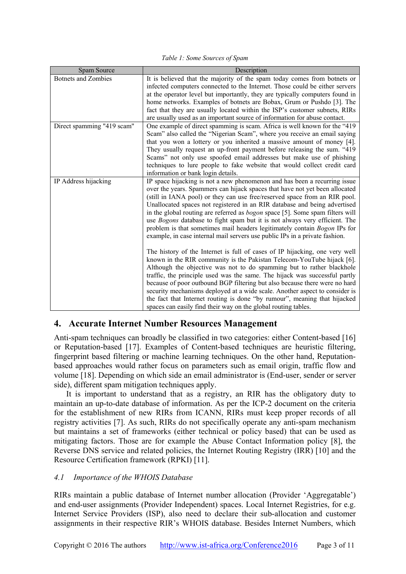*Table 1: Some Sources of Spam* 

| Spam Source                | Description                                                                          |
|----------------------------|--------------------------------------------------------------------------------------|
| <b>Botnets and Zombies</b> | It is believed that the majority of the spam today comes from botnets or             |
|                            | infected computers connected to the Internet. Those could be either servers          |
|                            | at the operator level but importantly, they are typically computers found in         |
|                            | home networks. Examples of botnets are Bobax, Grum or Pushdo [3]. The                |
|                            | fact that they are usually located within the ISP's customer subnets, RIRs           |
|                            | are usually used as an important source of information for abuse contact.            |
| Direct spamming "419 scam" | One example of direct spamming is scam. Africa is well known for the "419"           |
|                            | Scam" also called the "Nigerian Scam", where you receive an email saying             |
|                            | that you won a lottery or you inherited a massive amount of money [4].               |
|                            | They usually request an up-front payment before releasing the sum. "419"             |
|                            | Scams" not only use spoofed email addresses but make use of phishing                 |
|                            | techniques to lure people to fake website that would collect credit card             |
|                            | information or bank login details.                                                   |
| IP Address hijacking       | IP space hijacking is not a new phenomenon and has been a recurring issue            |
|                            | over the years. Spammers can hijack spaces that have not yet been allocated          |
|                            | (still in IANA pool) or they can use free/reserved space from an RIR pool.           |
|                            | Unallocated spaces not registered in an RIR database and being advertised            |
|                            | in the global routing are referred as <i>bogon</i> space [5]. Some spam filters will |
|                            | use Bogons database to fight spam but it is not always very efficient. The           |
|                            | problem is that sometimes mail headers legitimately contain Bogon IPs for            |
|                            | example, in case internal mail servers use public IPs in a private fashion.          |
|                            |                                                                                      |
|                            | The history of the Internet is full of cases of IP hijacking, one very well          |
|                            | known in the RIR community is the Pakistan Telecom-YouTube hijack [6].               |
|                            | Although the objective was not to do spamming but to rather blackhole                |
|                            | traffic, the principle used was the same. The hijack was successful partly           |
|                            | because of poor outbound BGP filtering but also because there were no hard           |
|                            | security mechanisms deployed at a wide scale. Another aspect to consider is          |
|                            | the fact that Internet routing is done "by rumour", meaning that hijacked            |
|                            | spaces can easily find their way on the global routing tables.                       |

# **4. Accurate Internet Number Resources Management**

Anti-spam techniques can broadly be classified in two categories: either Content-based [16] or Reputation-based [17]. Examples of Content-based techniques are heuristic filtering, fingerprint based filtering or machine learning techniques. On the other hand, Reputationbased approaches would rather focus on parameters such as email origin, traffic flow and volume [18]. Depending on which side an email administrator is (End-user, sender or server side), different spam mitigation techniques apply.

It is important to understand that as a registry, an RIR has the obligatory duty to maintain an up-to-date database of information. As per the ICP-2 document on the criteria for the establishment of new RIRs from ICANN, RIRs must keep proper records of all registry activities [7]. As such, RIRs do not specifically operate any anti-spam mechanism but maintains a set of frameworks (either technical or policy based) that can be used as mitigating factors. Those are for example the Abuse Contact Information policy [8], the Reverse DNS service and related policies, the Internet Routing Registry (IRR) [10] and the Resource Certification framework (RPKI) [11].

#### *4.1 Importance of the WHOIS Database*

RIRs maintain a public database of Internet number allocation (Provider 'Aggregatable') and end-user assignments (Provider Independent) spaces. Local Internet Registries, for e.g. Internet Service Providers (ISP), also need to declare their sub-allocation and customer assignments in their respective RIR's WHOIS database. Besides Internet Numbers, which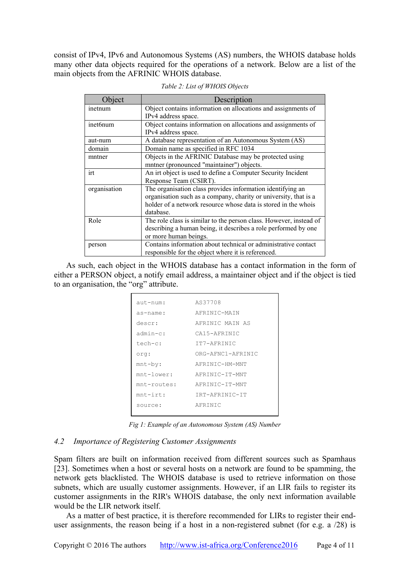consist of IPv4, IPv6 and Autonomous Systems (AS) numbers, the WHOIS database holds many other data objects required for the operations of a network. Below are a list of the main objects from the AFRINIC WHOIS database.

| Object       | Description                                                        |
|--------------|--------------------------------------------------------------------|
| inetnum      | Object contains information on allocations and assignments of      |
|              | IPv4 address space.                                                |
| inet6num     | Object contains information on allocations and assignments of      |
|              | IPv4 address space.                                                |
| aut-num      | A database representation of an Autonomous System (AS)             |
| domain       | Domain name as specified in RFC 1034                               |
| mntner       | Objects in the AFRINIC Database may be protected using             |
|              | mntner (pronounced "maintainer") objects.                          |
| irt          | An irt object is used to define a Computer Security Incident       |
|              | Response Team (CSIRT).                                             |
| organisation | The organisation class provides information identifying an         |
|              | organisation such as a company, charity or university, that is a   |
|              | holder of a network resource whose data is stored in the whois     |
|              | database.                                                          |
| Role         | The role class is similar to the person class. However, instead of |
|              | describing a human being, it describes a role performed by one     |
|              | or more human beings.                                              |
| person       | Contains information about technical or administrative contact     |
|              | responsible for the object where it is referenced.                 |

*Table 2: List of WHOIS Objects* 

As such, each object in the WHOIS database has a contact information in the form of either a PERSON object, a notify email address, a maintainer object and if the object is tied to an organisation, the "org" attribute.

| aut-num:       | AS37708           |
|----------------|-------------------|
| as-name:       | AFRINIC-MAIN      |
| descr:         | AFRINIC MAIN AS   |
| $adm$ in-c:    | CA15-AFRINIC      |
| tech-c:        | TT7-AFRINIC       |
| orq:           | ORG-AFNC1-AFRINIC |
| $mnt-by:$      | AFRINIC-HM-MNT    |
| $mnt-lower:$   | AFRINIC-IT-MNT    |
| $mnt$ -routes: | AFRINIC-IT-MNT    |
| $mnt - irt:$   | TRT-AFRINIC-IT    |
| source:        | AFRINIC           |
|                |                   |

*Fig 1: Example of an Autonomous System (AS) Number* 

#### *4.2 Importance of Registering Customer Assignments*

Spam filters are built on information received from different sources such as Spamhaus [23]. Sometimes when a host or several hosts on a network are found to be spamming, the network gets blacklisted. The WHOIS database is used to retrieve information on those subnets, which are usually customer assignments. However, if an LIR fails to register its customer assignments in the RIR's WHOIS database, the only next information available would be the LIR network itself.

As a matter of best practice, it is therefore recommended for LIRs to register their enduser assignments, the reason being if a host in a non-registered subnet (for e.g. a /28) is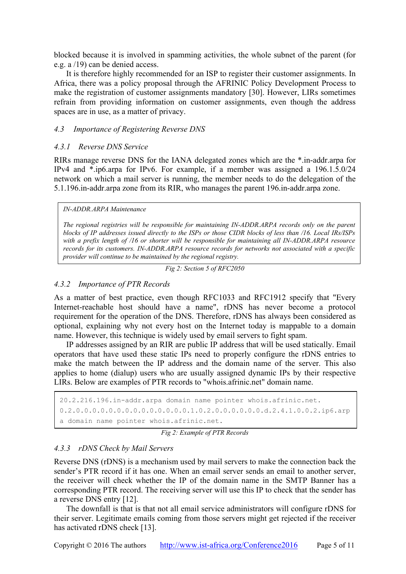blocked because it is involved in spamming activities, the whole subnet of the parent (for e.g. a /19) can be denied access.

It is therefore highly recommended for an ISP to register their customer assignments. In Africa, there was a policy proposal through the AFRINIC Policy Development Process to make the registration of customer assignments mandatory [30]. However, LIRs sometimes refrain from providing information on customer assignments, even though the address spaces are in use, as a matter of privacy.

#### *4.3 Importance of Registering Reverse DNS*

#### *4.3.1 Reverse DNS Service*

RIRs manage reverse DNS for the IANA delegated zones which are the \*.in-addr.arpa for IPv4 and \*.ip6.arpa for IPv6. For example, if a member was assigned a 196.1.5.0/24 network on which a mail server is running, the member needs to do the delegation of the 5.1.196.in-addr.arpa zone from its RIR, who manages the parent 196.in-addr.arpa zone.

#### *IN-ADDR.ARPA Maintenance*

*The regional registries will be responsible for maintaining IN-ADDR.ARPA records only on the parent blocks of IP addresses issued directly to the ISPs or those CIDR blocks of less than /16. Local IRs/ISPs with a prefix length of /16 or shorter will be responsible for maintaining all IN-ADDR.ARPA resource records for its customers. IN-ADDR.ARPA resource records for networks not associated with a specific provider will continue to be maintained by the regional registry.* 

*Fig 2: Section 5 of RFC2050* 

## *4.3.2 Importance of PTR Records*

As a matter of best practice, even though RFC1033 and RFC1912 specify that "Every Internet-reachable host should have a name", rDNS has never become a protocol requirement for the operation of the DNS. Therefore, rDNS has always been considered as optional, explaining why not every host on the Internet today is mappable to a domain name. However, this technique is widely used by email servers to fight spam.

IP addresses assigned by an RIR are public IP address that will be used statically. Email operators that have used these static IPs need to properly configure the rDNS entries to make the match between the IP address and the domain name of the server. This also applies to home (dialup) users who are usually assigned dynamic IPs by their respective LIRs. Below are examples of PTR records to "whois.afrinic.net" domain name.

```
20.2.216.196.in-addr.arpa domain name pointer whois.afrinic.net.
0.2.0.0.0.0.0.0.0.0.0.0.0.0.0.0.1.0.2.0.0.0.0.0.0.d.2.4.1.0.0.2.ip6.arp
a domain name pointer whois.afrinic.net.
```
*Fig 2: Example of PTR Records* 

### *4.3.3 rDNS Check by Mail Servers*

Reverse DNS (rDNS) is a mechanism used by mail servers to make the connection back the sender's PTR record if it has one. When an email server sends an email to another server, the receiver will check whether the IP of the domain name in the SMTP Banner has a corresponding PTR record. The receiving server will use this IP to check that the sender has a reverse DNS entry [12].

The downfall is that is that not all email service administrators will configure rDNS for their server. Legitimate emails coming from those servers might get rejected if the receiver has activated rDNS check [13].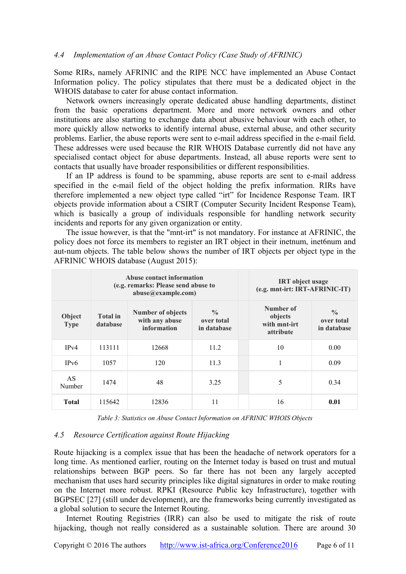#### *4.4 Implementation of an Abuse Contact Policy (Case Study of AFRINIC)*

Some RIRs, namely AFRINIC and the RIPE NCC have implemented an Abuse Contact Information policy. The policy stipulates that there must be a dedicated object in the WHOIS database to cater for abuse contact information.

Network owners increasingly operate dedicated abuse handling departments, distinct from the basic operations department. More and more network owners and other institutions are also starting to exchange data about abusive behaviour with each other, to more quickly allow networks to identify internal abuse, external abuse, and other security problems. Earlier, the abuse reports were sent to e-mail address specified in the e-mail field. These addresses were used because the RIR WHOIS Database currently did not have any specialised contact object for abuse departments. Instead, all abuse reports were sent to contacts that usually have broader responsibilities or different responsibilities.

If an IP address is found to be spamming, abuse reports are sent to e-mail address specified in the e-mail field of the object holding the prefix information. RIRs have therefore implemented a new object type called "irt" for Incidence Response Team. IRT objects provide information about a CSIRT (Computer Security Incident Response Team), which is basically a group of individuals responsible for handling network security incidents and reports for any given organization or entity.

The issue however, is that the "mnt-irt" is not mandatory. For instance at AFRINIC, the policy does not force its members to register an IRT object in their inetnum, inet6num and aut-num objects. The table below shows the number of IRT objects per object type in the AFRINIC WHOIS database (August 2015):

|                       | Abuse contact information<br>(e.g. remarks: Please send abuse to<br>abuse@example.com) |                                                           |                                            | <b>IRT</b> object usage<br>(e.g. mnt-irt: IRT-AFRINIC-IT) |                                            |  |
|-----------------------|----------------------------------------------------------------------------------------|-----------------------------------------------------------|--------------------------------------------|-----------------------------------------------------------|--------------------------------------------|--|
| Object<br><b>Type</b> | <b>Total</b> in<br>database                                                            | <b>Number of objects</b><br>with any abuse<br>information | $\frac{0}{0}$<br>over total<br>in database | Number of<br>objects<br>with mnt-irt<br><i>attribute</i>  | $\frac{0}{0}$<br>over total<br>in database |  |
| IPv4                  | 113111                                                                                 | 12668                                                     | 11.2.                                      | 10                                                        | 0.00                                       |  |
| IPv6                  | 1057                                                                                   | 120                                                       | 11.3                                       |                                                           | 0.09                                       |  |
| AS<br>Number          | 1474                                                                                   | 48                                                        | 3.25                                       | 5                                                         | 0.34                                       |  |
| Total                 | 115642                                                                                 | 12836                                                     | 11                                         | 16                                                        | 0.01                                       |  |

*Table 3: Statistics on Abuse Contact Information on AFRINIC WHOIS Objects* 

#### *4.5 Resource Certification against Route Hijacking*

Route hijacking is a complex issue that has been the headache of network operators for a long time. As mentioned earlier, routing on the Internet today is based on trust and mutual relationships between BGP peers. So far there has not been any largely accepted mechanism that uses hard security principles like digital signatures in order to make routing on the Internet more robust. RPKI (Resource Public key Infrastructure), together with BGPSEC [27] (still under development), are the frameworks being currently investigated as a global solution to secure the Internet Routing.

Internet Routing Registries (IRR) can also be used to mitigate the risk of route hijacking, though not really considered as a sustainable solution. There are around 30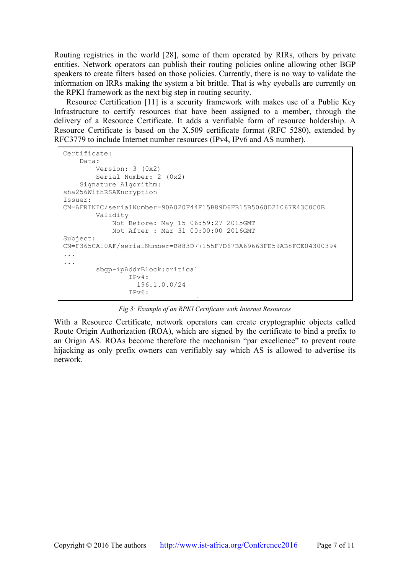Routing registries in the world [28], some of them operated by RIRs, others by private entities. Network operators can publish their routing policies online allowing other BGP speakers to create filters based on those policies. Currently, there is no way to validate the information on IRRs making the system a bit brittle. That is why eyeballs are currently on the RPKI framework as the next big step in routing security.

Resource Certification [11] is a security framework with makes use of a Public Key Infrastructure to certify resources that have been assigned to a member, through the delivery of a Resource Certificate. It adds a verifiable form of resource holdership. A Resource Certificate is based on the X.509 certificate format (RFC 5280), extended by RFC3779 to include Internet number resources (IPv4, IPv6 and AS number).

```
Certificate: 
     Data: 
         Version: 3 (0x2) 
         Serial Number: 2 (0x2) 
     Signature Algorithm: 
sha256WithRSAEncryption 
Issuer: 
CN=AFRINIC/serialNumber=90A020F44F15B89D6FB15B5060D21067E43C0C0B 
         Validity 
             Not Before: May 15 06:59:27 2015GMT 
             Not After : Mar 31 00:00:00 2016GMT 
Subject: 
CN=F365CA10AF/serialNumber=B883D77155F7D67BA69663FE59AB8FCE04300394 
... 
... 
         sbgp-ipAddrBlock:critical 
                  IPv4: 
                    196.1.0.0/24 
                  IPv6:
```
*Fig 3: Example of an RPKI Certificate with Internet Resources* 

/

With a Resource Certificate, network operators can create cryptographic objects called Route Origin Authorization (ROA), which are signed by the certificate to bind a prefix to an Origin AS. ROAs become therefore the mechanism "par excellence" to prevent route hijacking as only prefix owners can verifiably say which AS is allowed to advertise its network.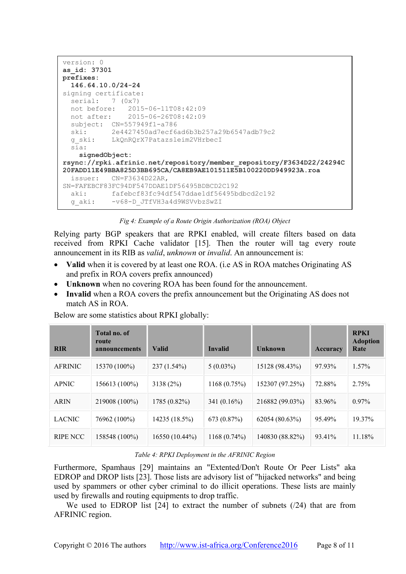```
version: 0
as_id: 37301
prefixes:
  146.64.10.0/24-24
signing certificate:
  serial: 7 (0x7)
  not before: 2015-06-11T08:42:09
  not after: 2015-06-26T08:42:09
  subject: CN=557949f1-a786
  ski: 2e4427450ad7ecf6ad6b3b257a29b6547adb79c2
  g_ski: LkQnRQrX7Patazsleim2VHrbecI
  sia:
    signedObject: 
rsync://rpki.afrinic.net/repository/member_repository/F3634D22/24294C
20FADD11E49BBA825D3BB695CA/CA8EB9AE101511E5B100220DD949923A.roa
   issuer: CN=F3634D22AR, 
SN=FAFEBCF83FC94DF547DDAE1DF56495BDBCD2C192
  aki: fafebcf83fc94df547ddae1df56495bdbcd2c192
   g_aki: -v68-D_JTfVH3a4d9WSVvbzSwZI
```
*Fig 4: Example of a Route Origin Authorization (ROA) Object* 

Relying party BGP speakers that are RPKI enabled, will create filters based on data received from RPKI Cache validator [15]. Then the router will tag every route announcement in its RIB as *valid*, *unknown* or *invalid*. An announcement is:

- **Valid** when it is covered by at least one ROA. (i.e AS in ROA matches Originating AS and prefix in ROA covers prefix announced)
- **Unknown** when no covering ROA has been found for the announcement.
- **Invalid** when a ROA covers the prefix announcement but the Originating AS does not match AS in ROA.

| Below are some statistics about RPKI globally: |
|------------------------------------------------|
|------------------------------------------------|

| <b>RIR</b>     | Total no. of<br>route<br>announcements | <b>Valid</b>   | <b>Invalid</b> | <b>Unknown</b>  | <b>Accuracy</b> | <b>RPKI</b><br><b>Adoption</b><br>Rate |
|----------------|----------------------------------------|----------------|----------------|-----------------|-----------------|----------------------------------------|
| <b>AFRINIC</b> | 15370 (100%)                           | $237(1.54\%)$  | $5(0.03\%)$    | 15128 (98.43%)  | 97.93%          | 1.57%                                  |
| <b>APNIC</b>   | 156613 (100%)                          | 3138 (2%)      | 1168(0.75%)    | 152307 (97.25%) | 72.88%          | 2.75%                                  |
| <b>ARIN</b>    | 219008 (100%)                          | 1785 (0.82%)   | 341 $(0.16\%)$ | 216882 (99.03%) | 83.96%          | $0.97\%$                               |
| <b>LACNIC</b>  | 76962 (100%)                           | 14235 (18.5%)  | 673 (0.87%)    | 62054 (80.63%)  | 95.49%          | 19.37%                                 |
| RIPE NCC       | 158548 (100%)                          | 16550 (10.44%) | $1168(0.74\%)$ | 140830 (88.82%) | 93.41%          | 11.18%                                 |

#### *Table 4: RPKI Deployment in the AFRINIC Region*

Furthermore, Spamhaus [29] maintains an "Extented/Don't Route Or Peer Lists" aka EDROP and DROP lists [23]. Those lists are advisory list of "hijacked networks" and being used by spammers or other cyber criminal to do illicit operations. These lists are mainly used by firewalls and routing equipments to drop traffic.

We used to EDROP list [24] to extract the number of subnets (/24) that are from AFRINIC region.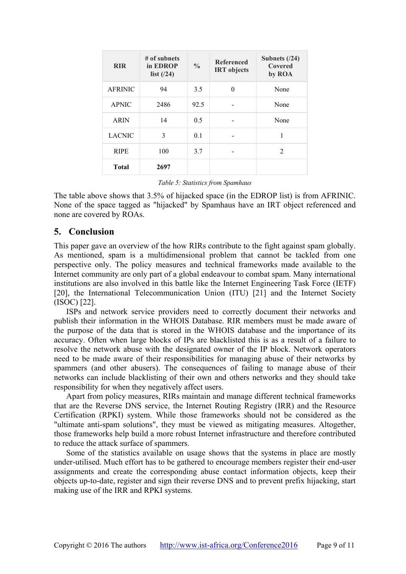| <b>RIR</b>     | $#$ of subnets<br>in EDROP<br>list $(24)$ | $\frac{0}{0}$ | <b>Referenced</b><br><b>IRT</b> objects | Subnets $(24)$<br>Covered<br>by ROA |
|----------------|-------------------------------------------|---------------|-----------------------------------------|-------------------------------------|
| <b>AFRINIC</b> | 94                                        | 3.5           | $\theta$                                | None                                |
| <b>APNIC</b>   | 2486                                      | 92.5          |                                         | None                                |
| <b>ARIN</b>    | 14                                        | 0.5           |                                         | None                                |
| <b>LACNIC</b>  | 3                                         | 0.1           |                                         | 1                                   |
| <b>RIPE</b>    | 100                                       | 3.7           |                                         | $\mathfrak{D}$                      |
| <b>Total</b>   | 2697                                      |               |                                         |                                     |

*Table 5: Statistics from Spamhaus* 

The table above shows that 3.5% of hijacked space (in the EDROP list) is from AFRINIC. None of the space tagged as "hijacked" by Spamhaus have an IRT object referenced and none are covered by ROAs.

# **5. Conclusion**

This paper gave an overview of the how RIRs contribute to the fight against spam globally. As mentioned, spam is a multidimensional problem that cannot be tackled from one perspective only. The policy measures and technical frameworks made available to the Internet community are only part of a global endeavour to combat spam. Many international institutions are also involved in this battle like the Internet Engineering Task Force (IETF) [20], the International Telecommunication Union (ITU) [21] and the Internet Society (ISOC) [22].

ISPs and network service providers need to correctly document their networks and publish their information in the WHOIS Database. RIR members must be made aware of the purpose of the data that is stored in the WHOIS database and the importance of its accuracy. Often when large blocks of IPs are blacklisted this is as a result of a failure to resolve the network abuse with the designated owner of the IP block. Network operators need to be made aware of their responsibilities for managing abuse of their networks by spammers (and other abusers). The consequences of failing to manage abuse of their networks can include blacklisting of their own and others networks and they should take responsibility for when they negatively affect users.

Apart from policy measures, RIRs maintain and manage different technical frameworks that are the Reverse DNS service, the Internet Routing Registry (IRR) and the Resource Certification (RPKI) system. While those frameworks should not be considered as the "ultimate anti-spam solutions", they must be viewed as mitigating measures. Altogether, those frameworks help build a more robust Internet infrastructure and therefore contributed to reduce the attack surface of spammers.

Some of the statistics available on usage shows that the systems in place are mostly under-utilised. Much effort has to be gathered to encourage members register their end-user assignments and create the corresponding abuse contact information objects, keep their objects up-to-date, register and sign their reverse DNS and to prevent prefix hijacking, start making use of the IRR and RPKI systems.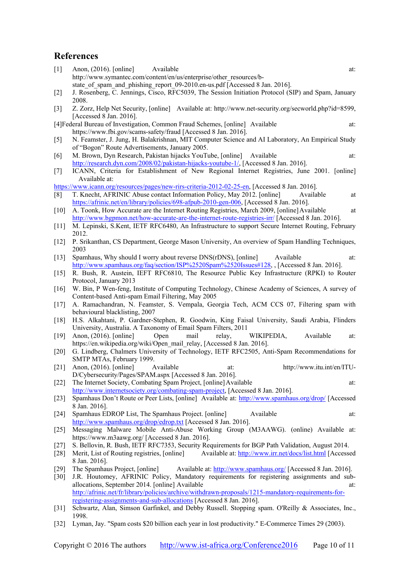# **References**

| $[1]$  | Anon, $(2016)$ . [online]<br>Available<br>at:                                                                                   |
|--------|---------------------------------------------------------------------------------------------------------------------------------|
|        | http://www.symantec.com/content/en/us/enterprise/other resources/b-                                                             |
|        | state of spam and phishing report 09-2010.en-us.pdf [Accessed 8 Jan. 2016].                                                     |
| $[2]$  | J. Rosenberg, C. Jennings, Cisco, RFC5039, The Session Initiation Protocol (SIP) and Spam, January<br>2008.                     |
| $[3]$  | Z. Zorz, Help Net Security, [online] Available at: http://www.net-security.org/secworld.php?id=8599,<br>[Accessed 8 Jan. 2016]. |
|        | [4] Federal Bureau of Investigation, Common Fraud Schemes, [online] Available<br>at:                                            |
|        | https://www.fbi.gov/scams-safety/fraud [Accessed 8 Jan. 2016].                                                                  |
| $[5]$  | N. Feamster, J. Jung, H. Balakrishnan, MIT Computer Science and AI Laboratory, An Empirical Study                               |
|        | of "Bogon" Route Advertisements, January 2005.                                                                                  |
| [6]    | M. Brown, Dyn Research, Pakistan hijacks YouTube, [online]<br>Available<br>at:                                                  |
|        | http://research.dyn.com/2008/02/pakistan-hijacks-youtube-1/, [Accessed 8 Jan. 2016].                                            |
| $[7]$  | ICANN, Criteria for Establishment of New Regional Internet Registries, June 2001. [online]                                      |
|        | Available at:                                                                                                                   |
|        | https://www.icann.org/resources/pages/new-rirs-criteria-2012-02-25-en, [Accessed 8 Jan. 2016].                                  |
| [8]    | T. Knecht, AFRINIC Abuse contact Information Policy, May 2012. [online]<br>Available<br>at                                      |
|        | https://afrinic.net/en/library/policies/698-afpub-2010-gen-006, [Accessed 8 Jan. 2016].                                         |
| [10]   | A. Toonk, How Accurate are the Internet Routing Registries, March 2009, [online] Available<br>at                                |
|        | http://www.bgpmon.net/how-accurate-are-the-internet-route-registries-irr/ [Accessed 8 Jan. 2016].                               |
| $[11]$ | M. Lepinski, S.Kent, IETF RFC6480, An Infrastructure to support Secure Internet Routing, February<br>2012.                      |
| $[12]$ | P. Srikanthan, CS Department, George Mason University, An overview of Spam Handling Techniques,<br>2003                         |
| $[13]$ | Spamhaus, Why should I worry about reverse DNS(rDNS), [online]<br>Available<br>at:                                              |
|        | http://www.spamhaus.org/faq/section/ISP%2520Spam%2520Issues#128,, [Accessed 8 Jan. 2016].                                       |
| $[15]$ | R. Bush, R. Austein, IEFT RFC6810, The Resource Public Key Infrastructure (RPKI) to Router                                      |
|        | Protocol, January 2013                                                                                                          |
| $[16]$ | W. Bin, P Wen-feng, Institute of Computing Technology, Chinese Academy of Sciences, A survey of                                 |
|        | Content-based Anti-spam Email Filtering, May 2005                                                                               |
| $[17]$ | A. Ramachandran, N. Feamster, S. Vempala, Georgia Tech, ACM CCS 07, Filtering spam with                                         |
|        | behavioural blacklisting, 2007                                                                                                  |
| $[18]$ | H.S. Alkahtani, P. Gardner-Stephen, R. Goodwin, King Faisal University, Saudi Arabia, Flinders                                  |
|        | University, Australia. A Taxonomy of Email Spam Filters, 2011                                                                   |
| $[19]$ | Available<br>Open<br>mail<br>relay,<br>Anon, $(2016)$ . [online]<br>WIKIPEDIA,<br>at:                                           |
|        | https://en.wikipedia.org/wiki/Open mail relay, [Accessed 8 Jan. 2016].                                                          |
| $[20]$ | G. Lindberg, Chalmers University of Technology, IETF RFC2505, Anti-Spam Recommendations for<br>SMTP MTAs, February 1999.        |
| [21]   | Anon, (2016). [online]<br>Available<br>http://www.itu.int/en/ITU-<br>at:                                                        |
|        | D/Cybersecurity/Pages/SPAM.aspx [Accessed 8 Jan. 2016].                                                                         |
| $[22]$ | The Internet Society, Combating Spam Project, [online] Available<br>at:                                                         |
|        | http://www.internetsociety.org/combating-spam-project, [Accessed 8 Jan. 2016].                                                  |
| $[23]$ | Spamhaus Don't Route or Peer Lists, [online] Available at: http://www.spamhaus.org/drop/ [Accessed]                             |
|        | 8 Jan. 2016].                                                                                                                   |
| $[24]$ | Spamhaus EDROP List, The Spamhaus Project. [online]<br>Available<br>at:                                                         |
|        | http://www.spamhaus.org/drop/edrop.txt [Accessed 8 Jan. 2016].                                                                  |
| $[25]$ | Messaging Malware Mobile Anti-Abuse Working Group (M3AAWG). (online) Available at:                                              |
|        | https://www.m3aawg.org/ [Accessed 8 Jan. 2016].                                                                                 |
| $[27]$ | S. Bellovin, R. Bush, IETF RFC7353, Security Requirements for BGP Path Validation, August 2014.                                 |
| $[28]$ | Merit, List of Routing registries, [online]<br>Available at: http://www.irr.net/docs/list.html [Accessed                        |
|        | 8 Jan. 2016].                                                                                                                   |
| $[29]$ | The Spamhaus Project, [online]<br>Available at: http://www.spamhaus.org/ [Accessed 8 Jan. 2016].                                |
| $[30]$ | J.R. Houtomey, AFRINIC Policy, Mandatory requirements for registering assignments and sub-                                      |
|        | allocations, September 2014. [online] Available<br>at:                                                                          |
|        | http://afrinic.net/fr/library/policies/archive/withdrawn-proposals/1215-mandatory-requirements-for-                             |
|        | registering-assignments-and-sub-allocations [Accessed 8 Jan. 2016].                                                             |
| $[31]$ | Schwartz, Alan, Simson Garfinkel, and Debby Russell. Stopping spam. O'Reilly & Associates, Inc.,                                |
|        | 1998.                                                                                                                           |
| $[32]$ | Lyman, Jay. "Spam costs \$20 billion each year in lost productivity." E-Commerce Times 29 (2003).                               |